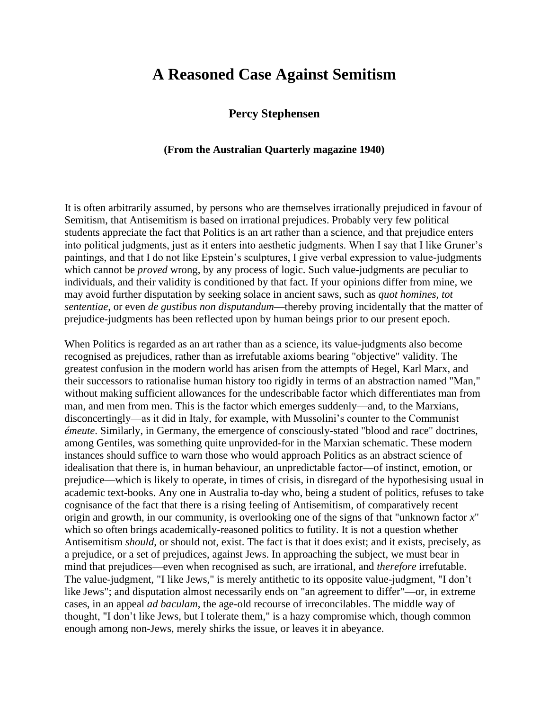## **A Reasoned Case Against Semitism**

## **Percy Stephensen**

## **(From the Australian Quarterly magazine 1940)**

It is often arbitrarily assumed, by persons who are themselves irrationally prejudiced in favour of Semitism, that Antisemitism is based on irrational prejudices. Probably very few political students appreciate the fact that Politics is an art rather than a science, and that prejudice enters into political judgments, just as it enters into aesthetic judgments. When I say that I like Gruner's paintings, and that I do not like Epstein's sculptures, I give verbal expression to value-judgments which cannot be *proved* wrong, by any process of logic. Such value-judgments are peculiar to individuals, and their validity is conditioned by that fact. If your opinions differ from mine, we may avoid further disputation by seeking solace in ancient saws, such as *quot homines, tot sententiae*, or even *de gustibus non disputandum*—thereby proving incidentally that the matter of prejudice-judgments has been reflected upon by human beings prior to our present epoch.

When Politics is regarded as an art rather than as a science, its value-judgments also become recognised as prejudices, rather than as irrefutable axioms bearing "objective" validity. The greatest confusion in the modern world has arisen from the attempts of Hegel, Karl Marx, and their successors to rationalise human history too rigidly in terms of an abstraction named "Man," without making sufficient allowances for the undescribable factor which differentiates man from man, and men from men. This is the factor which emerges suddenly—and, to the Marxians, disconcertingly—as it did in Italy, for example, with Mussolini's counter to the Communist *émeute*. Similarly, in Germany, the emergence of consciously-stated "blood and race" doctrines, among Gentiles, was something quite unprovided-for in the Marxian schematic. These modern instances should suffice to warn those who would approach Politics as an abstract science of idealisation that there is, in human behaviour, an unpredictable factor—of instinct, emotion, or prejudice—which is likely to operate, in times of crisis, in disregard of the hypothesising usual in academic text-books. Any one in Australia to-day who, being a student of politics, refuses to take cognisance of the fact that there is a rising feeling of Antisemitism, of comparatively recent origin and growth, in our community, is overlooking one of the signs of that "unknown factor *x*" which so often brings academically-reasoned politics to futility. It is not a question whether Antisemitism *should*, or should not, exist. The fact is that it does exist; and it exists, precisely, as a prejudice, or a set of prejudices, against Jews. In approaching the subject, we must bear in mind that prejudices—even when recognised as such, are irrational, and *therefore* irrefutable. The value-judgment, "I like Jews," is merely antithetic to its opposite value-judgment, "I don't like Jews"; and disputation almost necessarily ends on "an agreement to differ"—or, in extreme cases, in an appeal *ad baculam*, the age-old recourse of irreconcilables. The middle way of thought, "I don't like Jews, but I tolerate them," is a hazy compromise which, though common enough among non-Jews, merely shirks the issue, or leaves it in abeyance.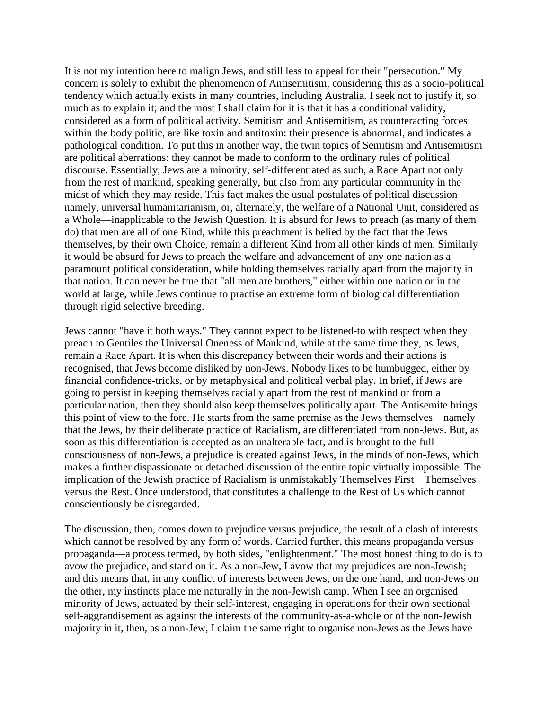It is not my intention here to malign Jews, and still less to appeal for their "persecution." My concern is solely to exhibit the phenomenon of Antisemitism, considering this as a socio-political tendency which actually exists in many countries, including Australia. I seek not to justify it, so much as to explain it; and the most I shall claim for it is that it has a conditional validity, considered as a form of political activity. Semitism and Antisemitism, as counteracting forces within the body politic, are like toxin and antitoxin: their presence is abnormal, and indicates a pathological condition. To put this in another way, the twin topics of Semitism and Antisemitism are political aberrations: they cannot be made to conform to the ordinary rules of political discourse. Essentially, Jews are a minority, self-differentiated as such, a Race Apart not only from the rest of mankind, speaking generally, but also from any particular community in the midst of which they may reside. This fact makes the usual postulates of political discussion namely, universal humanitarianism, or, alternately, the welfare of a National Unit, considered as a Whole—inapplicable to the Jewish Question. It is absurd for Jews to preach (as many of them do) that men are all of one Kind, while this preachment is belied by the fact that the Jews themselves, by their own Choice, remain a different Kind from all other kinds of men. Similarly it would be absurd for Jews to preach the welfare and advancement of any one nation as a paramount political consideration, while holding themselves racially apart from the majority in that nation. It can never be true that "all men are brothers," either within one nation or in the world at large, while Jews continue to practise an extreme form of biological differentiation through rigid selective breeding.

Jews cannot "have it both ways." They cannot expect to be listened-to with respect when they preach to Gentiles the Universal Oneness of Mankind, while at the same time they, as Jews, remain a Race Apart. It is when this discrepancy between their words and their actions is recognised, that Jews become disliked by non-Jews. Nobody likes to be humbugged, either by financial confidence-tricks, or by metaphysical and political verbal play. In brief, if Jews are going to persist in keeping themselves racially apart from the rest of mankind or from a particular nation, then they should also keep themselves politically apart. The Antisemite brings this point of view to the fore. He starts from the same premise as the Jews themselves—namely that the Jews, by their deliberate practice of Racialism, are differentiated from non-Jews. But, as soon as this differentiation is accepted as an unalterable fact, and is brought to the full consciousness of non-Jews, a prejudice is created against Jews, in the minds of non-Jews, which makes a further dispassionate or detached discussion of the entire topic virtually impossible. The implication of the Jewish practice of Racialism is unmistakably Themselves First—Themselves versus the Rest. Once understood, that constitutes a challenge to the Rest of Us which cannot conscientiously be disregarded.

The discussion, then, comes down to prejudice versus prejudice, the result of a clash of interests which cannot be resolved by any form of words. Carried further, this means propaganda versus propaganda—a process termed, by both sides, "enlightenment." The most honest thing to do is to avow the prejudice, and stand on it. As a non-Jew, I avow that my prejudices are non-Jewish; and this means that, in any conflict of interests between Jews, on the one hand, and non-Jews on the other, my instincts place me naturally in the non-Jewish camp. When I see an organised minority of Jews, actuated by their self-interest, engaging in operations for their own sectional self-aggrandisement as against the interests of the community-as-a-whole or of the non-Jewish majority in it, then, as a non-Jew, I claim the same right to organise non-Jews as the Jews have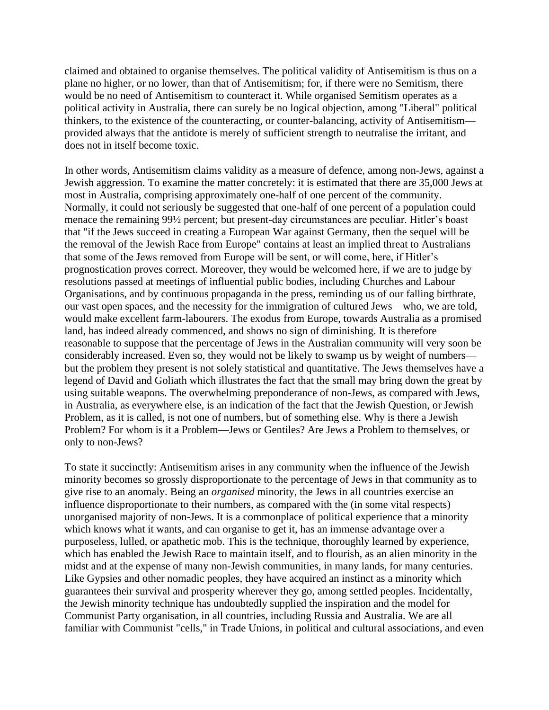claimed and obtained to organise themselves. The political validity of Antisemitism is thus on a plane no higher, or no lower, than that of Antisemitism; for, if there were no Semitism, there would be no need of Antisemitism to counteract it. While organised Semitism operates as a political activity in Australia, there can surely be no logical objection, among "Liberal" political thinkers, to the existence of the counteracting, or counter-balancing, activity of Antisemitism provided always that the antidote is merely of sufficient strength to neutralise the irritant, and does not in itself become toxic.

In other words, Antisemitism claims validity as a measure of defence, among non-Jews, against a Jewish aggression. To examine the matter concretely: it is estimated that there are 35,000 Jews at most in Australia, comprising approximately one-half of one percent of the community. Normally, it could not seriously be suggested that one-half of one percent of a population could menace the remaining 99½ percent; but present-day circumstances are peculiar. Hitler's boast that "if the Jews succeed in creating a European War against Germany, then the sequel will be the removal of the Jewish Race from Europe" contains at least an implied threat to Australians that some of the Jews removed from Europe will be sent, or will come, here, if Hitler's prognostication proves correct. Moreover, they would be welcomed here, if we are to judge by resolutions passed at meetings of influential public bodies, including Churches and Labour Organisations, and by continuous propaganda in the press, reminding us of our falling birthrate, our vast open spaces, and the necessity for the immigration of cultured Jews—who, we are told, would make excellent farm-labourers. The exodus from Europe, towards Australia as a promised land, has indeed already commenced, and shows no sign of diminishing. It is therefore reasonable to suppose that the percentage of Jews in the Australian community will very soon be considerably increased. Even so, they would not be likely to swamp us by weight of numbers but the problem they present is not solely statistical and quantitative. The Jews themselves have a legend of David and Goliath which illustrates the fact that the small may bring down the great by using suitable weapons. The overwhelming preponderance of non-Jews, as compared with Jews, in Australia, as everywhere else, is an indication of the fact that the Jewish Question, or Jewish Problem, as it is called, is not one of numbers, but of something else. Why is there a Jewish Problem? For whom is it a Problem—Jews or Gentiles? Are Jews a Problem to themselves, or only to non-Jews?

To state it succinctly: Antisemitism arises in any community when the influence of the Jewish minority becomes so grossly disproportionate to the percentage of Jews in that community as to give rise to an anomaly. Being an *organised* minority, the Jews in all countries exercise an influence disproportionate to their numbers, as compared with the (in some vital respects) unorganised majority of non-Jews. It is a commonplace of political experience that a minority which knows what it wants, and can organise to get it, has an immense advantage over a purposeless, lulled, or apathetic mob. This is the technique, thoroughly learned by experience, which has enabled the Jewish Race to maintain itself, and to flourish, as an alien minority in the midst and at the expense of many non-Jewish communities, in many lands, for many centuries. Like Gypsies and other nomadic peoples, they have acquired an instinct as a minority which guarantees their survival and prosperity wherever they go, among settled peoples. Incidentally, the Jewish minority technique has undoubtedly supplied the inspiration and the model for Communist Party organisation, in all countries, including Russia and Australia. We are all familiar with Communist "cells," in Trade Unions, in political and cultural associations, and even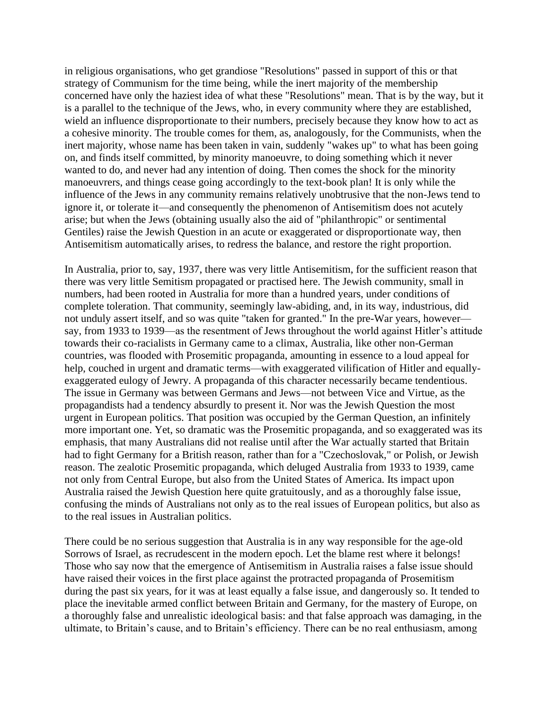in religious organisations, who get grandiose "Resolutions" passed in support of this or that strategy of Communism for the time being, while the inert majority of the membership concerned have only the haziest idea of what these "Resolutions" mean. That is by the way, but it is a parallel to the technique of the Jews, who, in every community where they are established, wield an influence disproportionate to their numbers, precisely because they know how to act as a cohesive minority. The trouble comes for them, as, analogously, for the Communists, when the inert majority, whose name has been taken in vain, suddenly "wakes up" to what has been going on, and finds itself committed, by minority manoeuvre, to doing something which it never wanted to do, and never had any intention of doing. Then comes the shock for the minority manoeuvrers, and things cease going accordingly to the text-book plan! It is only while the influence of the Jews in any community remains relatively unobtrusive that the non-Jews tend to ignore it, or tolerate it—and consequently the phenomenon of Antisemitism does not acutely arise; but when the Jews (obtaining usually also the aid of "philanthropic" or sentimental Gentiles) raise the Jewish Question in an acute or exaggerated or disproportionate way, then Antisemitism automatically arises, to redress the balance, and restore the right proportion.

In Australia, prior to, say, 1937, there was very little Antisemitism, for the sufficient reason that there was very little Semitism propagated or practised here. The Jewish community, small in numbers, had been rooted in Australia for more than a hundred years, under conditions of complete toleration. That community, seemingly law-abiding, and, in its way, industrious, did not unduly assert itself, and so was quite "taken for granted." In the pre-War years, however say, from 1933 to 1939—as the resentment of Jews throughout the world against Hitler's attitude towards their co-racialists in Germany came to a climax, Australia, like other non-German countries, was flooded with Prosemitic propaganda, amounting in essence to a loud appeal for help, couched in urgent and dramatic terms—with exaggerated vilification of Hitler and equallyexaggerated eulogy of Jewry. A propaganda of this character necessarily became tendentious. The issue in Germany was between Germans and Jews—not between Vice and Virtue, as the propagandists had a tendency absurdly to present it. Nor was the Jewish Question the most urgent in European politics. That position was occupied by the German Question, an infinitely more important one. Yet, so dramatic was the Prosemitic propaganda, and so exaggerated was its emphasis, that many Australians did not realise until after the War actually started that Britain had to fight Germany for a British reason, rather than for a "Czechoslovak," or Polish, or Jewish reason. The zealotic Prosemitic propaganda, which deluged Australia from 1933 to 1939, came not only from Central Europe, but also from the United States of America. Its impact upon Australia raised the Jewish Question here quite gratuitously, and as a thoroughly false issue, confusing the minds of Australians not only as to the real issues of European politics, but also as to the real issues in Australian politics.

There could be no serious suggestion that Australia is in any way responsible for the age-old Sorrows of Israel, as recrudescent in the modern epoch. Let the blame rest where it belongs! Those who say now that the emergence of Antisemitism in Australia raises a false issue should have raised their voices in the first place against the protracted propaganda of Prosemitism during the past six years, for it was at least equally a false issue, and dangerously so. It tended to place the inevitable armed conflict between Britain and Germany, for the mastery of Europe, on a thoroughly false and unrealistic ideological basis: and that false approach was damaging, in the ultimate, to Britain's cause, and to Britain's efficiency. There can be no real enthusiasm, among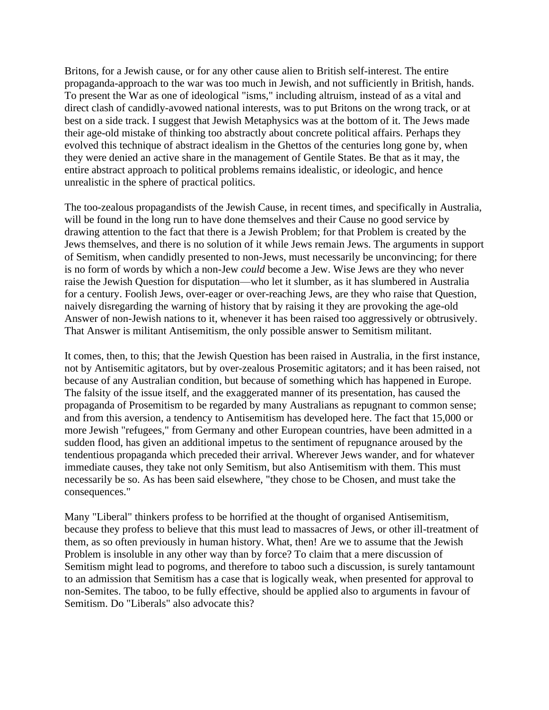Britons, for a Jewish cause, or for any other cause alien to British self-interest. The entire propaganda-approach to the war was too much in Jewish, and not sufficiently in British, hands. To present the War as one of ideological "isms," including altruism, instead of as a vital and direct clash of candidly-avowed national interests, was to put Britons on the wrong track, or at best on a side track. I suggest that Jewish Metaphysics was at the bottom of it. The Jews made their age-old mistake of thinking too abstractly about concrete political affairs. Perhaps they evolved this technique of abstract idealism in the Ghettos of the centuries long gone by, when they were denied an active share in the management of Gentile States. Be that as it may, the entire abstract approach to political problems remains idealistic, or ideologic, and hence unrealistic in the sphere of practical politics.

The too-zealous propagandists of the Jewish Cause, in recent times, and specifically in Australia, will be found in the long run to have done themselves and their Cause no good service by drawing attention to the fact that there is a Jewish Problem; for that Problem is created by the Jews themselves, and there is no solution of it while Jews remain Jews. The arguments in support of Semitism, when candidly presented to non-Jews, must necessarily be unconvincing; for there is no form of words by which a non-Jew *could* become a Jew. Wise Jews are they who never raise the Jewish Question for disputation—who let it slumber, as it has slumbered in Australia for a century. Foolish Jews, over-eager or over-reaching Jews, are they who raise that Question, naively disregarding the warning of history that by raising it they are provoking the age-old Answer of non-Jewish nations to it, whenever it has been raised too aggressively or obtrusively. That Answer is militant Antisemitism, the only possible answer to Semitism militant.

It comes, then, to this; that the Jewish Question has been raised in Australia, in the first instance, not by Antisemitic agitators, but by over-zealous Prosemitic agitators; and it has been raised, not because of any Australian condition, but because of something which has happened in Europe. The falsity of the issue itself, and the exaggerated manner of its presentation, has caused the propaganda of Prosemitism to be regarded by many Australians as repugnant to common sense; and from this aversion, a tendency to Antisemitism has developed here. The fact that 15,000 or more Jewish "refugees," from Germany and other European countries, have been admitted in a sudden flood, has given an additional impetus to the sentiment of repugnance aroused by the tendentious propaganda which preceded their arrival. Wherever Jews wander, and for whatever immediate causes, they take not only Semitism, but also Antisemitism with them. This must necessarily be so. As has been said elsewhere, "they chose to be Chosen, and must take the consequences."

Many "Liberal" thinkers profess to be horrified at the thought of organised Antisemitism, because they profess to believe that this must lead to massacres of Jews, or other ill-treatment of them, as so often previously in human history. What, then! Are we to assume that the Jewish Problem is insoluble in any other way than by force? To claim that a mere discussion of Semitism might lead to pogroms, and therefore to taboo such a discussion, is surely tantamount to an admission that Semitism has a case that is logically weak, when presented for approval to non-Semites. The taboo, to be fully effective, should be applied also to arguments in favour of Semitism. Do "Liberals" also advocate this?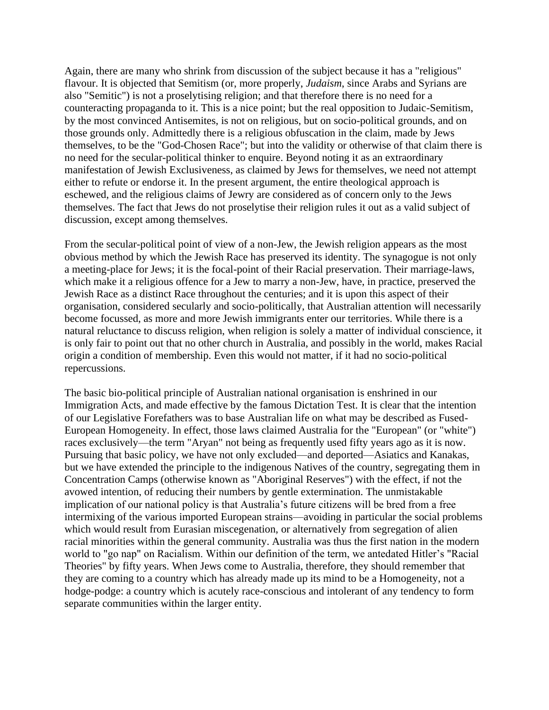Again, there are many who shrink from discussion of the subject because it has a "religious" flavour. It is objected that Semitism (or, more properly, *Judaism*, since Arabs and Syrians are also "Semitic") is not a proselytising religion; and that therefore there is no need for a counteracting propaganda to it. This is a nice point; but the real opposition to Judaic-Semitism, by the most convinced Antisemites, is not on religious, but on socio-political grounds, and on those grounds only. Admittedly there is a religious obfuscation in the claim, made by Jews themselves, to be the "God-Chosen Race"; but into the validity or otherwise of that claim there is no need for the secular-political thinker to enquire. Beyond noting it as an extraordinary manifestation of Jewish Exclusiveness, as claimed by Jews for themselves, we need not attempt either to refute or endorse it. In the present argument, the entire theological approach is eschewed, and the religious claims of Jewry are considered as of concern only to the Jews themselves. The fact that Jews do not proselytise their religion rules it out as a valid subject of discussion, except among themselves.

From the secular-political point of view of a non-Jew, the Jewish religion appears as the most obvious method by which the Jewish Race has preserved its identity. The synagogue is not only a meeting-place for Jews; it is the focal-point of their Racial preservation. Their marriage-laws, which make it a religious offence for a Jew to marry a non-Jew, have, in practice, preserved the Jewish Race as a distinct Race throughout the centuries; and it is upon this aspect of their organisation, considered secularly and socio-politically, that Australian attention will necessarily become focussed, as more and more Jewish immigrants enter our territories. While there is a natural reluctance to discuss religion, when religion is solely a matter of individual conscience, it is only fair to point out that no other church in Australia, and possibly in the world, makes Racial origin a condition of membership. Even this would not matter, if it had no socio-political repercussions.

The basic bio-political principle of Australian national organisation is enshrined in our Immigration Acts, and made effective by the famous Dictation Test. It is clear that the intention of our Legislative Forefathers was to base Australian life on what may be described as Fused-European Homogeneity. In effect, those laws claimed Australia for the "European" (or "white") races exclusively—the term "Aryan" not being as frequently used fifty years ago as it is now. Pursuing that basic policy, we have not only excluded—and deported—Asiatics and Kanakas, but we have extended the principle to the indigenous Natives of the country, segregating them in Concentration Camps (otherwise known as "Aboriginal Reserves") with the effect, if not the avowed intention, of reducing their numbers by gentle extermination. The unmistakable implication of our national policy is that Australia's future citizens will be bred from a free intermixing of the various imported European strains—avoiding in particular the social problems which would result from Eurasian miscegenation, or alternatively from segregation of alien racial minorities within the general community. Australia was thus the first nation in the modern world to "go nap" on Racialism. Within our definition of the term, we antedated Hitler's "Racial Theories" by fifty years. When Jews come to Australia, therefore, they should remember that they are coming to a country which has already made up its mind to be a Homogeneity, not a hodge-podge: a country which is acutely race-conscious and intolerant of any tendency to form separate communities within the larger entity.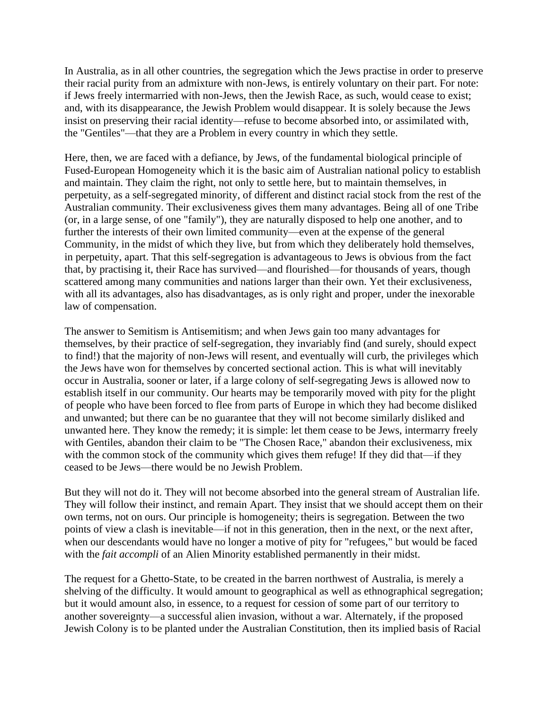In Australia, as in all other countries, the segregation which the Jews practise in order to preserve their racial purity from an admixture with non-Jews, is entirely voluntary on their part. For note: if Jews freely intermarried with non-Jews, then the Jewish Race, as such, would cease to exist; and, with its disappearance, the Jewish Problem would disappear. It is solely because the Jews insist on preserving their racial identity—refuse to become absorbed into, or assimilated with, the "Gentiles"—that they are a Problem in every country in which they settle.

Here, then, we are faced with a defiance, by Jews, of the fundamental biological principle of Fused-European Homogeneity which it is the basic aim of Australian national policy to establish and maintain. They claim the right, not only to settle here, but to maintain themselves, in perpetuity, as a self-segregated minority, of different and distinct racial stock from the rest of the Australian community. Their exclusiveness gives them many advantages. Being all of one Tribe (or, in a large sense, of one "family"), they are naturally disposed to help one another, and to further the interests of their own limited community—even at the expense of the general Community, in the midst of which they live, but from which they deliberately hold themselves, in perpetuity, apart. That this self-segregation is advantageous to Jews is obvious from the fact that, by practising it, their Race has survived—and flourished—for thousands of years, though scattered among many communities and nations larger than their own. Yet their exclusiveness, with all its advantages, also has disadvantages, as is only right and proper, under the inexorable law of compensation.

The answer to Semitism is Antisemitism; and when Jews gain too many advantages for themselves, by their practice of self-segregation, they invariably find (and surely, should expect to find!) that the majority of non-Jews will resent, and eventually will curb, the privileges which the Jews have won for themselves by concerted sectional action. This is what will inevitably occur in Australia, sooner or later, if a large colony of self-segregating Jews is allowed now to establish itself in our community. Our hearts may be temporarily moved with pity for the plight of people who have been forced to flee from parts of Europe in which they had become disliked and unwanted; but there can be no guarantee that they will not become similarly disliked and unwanted here. They know the remedy; it is simple: let them cease to be Jews, intermarry freely with Gentiles, abandon their claim to be "The Chosen Race," abandon their exclusiveness, mix with the common stock of the community which gives them refuge! If they did that—if they ceased to be Jews—there would be no Jewish Problem.

But they will not do it. They will not become absorbed into the general stream of Australian life. They will follow their instinct, and remain Apart. They insist that we should accept them on their own terms, not on ours. Our principle is homogeneity; theirs is segregation. Between the two points of view a clash is inevitable—if not in this generation, then in the next, or the next after, when our descendants would have no longer a motive of pity for "refugees," but would be faced with the *fait accompli* of an Alien Minority established permanently in their midst.

The request for a Ghetto-State, to be created in the barren northwest of Australia, is merely a shelving of the difficulty. It would amount to geographical as well as ethnographical segregation; but it would amount also, in essence, to a request for cession of some part of our territory to another sovereignty—a successful alien invasion, without a war. Alternately, if the proposed Jewish Colony is to be planted under the Australian Constitution, then its implied basis of Racial